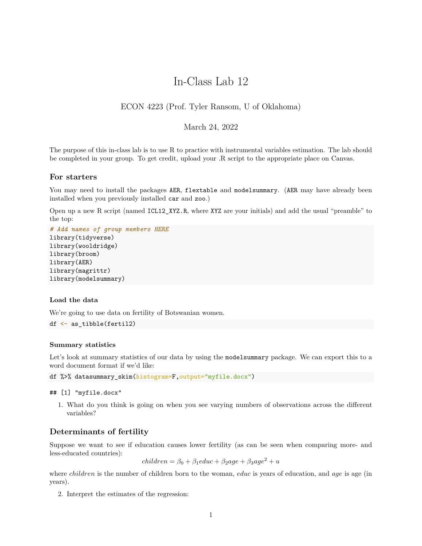# In-Class Lab 12

# ECON 4223 (Prof. Tyler Ransom, U of Oklahoma)

## March 24, 2022

The purpose of this in-class lab is to use R to practice with instrumental variables estimation. The lab should be completed in your group. To get credit, upload your .R script to the appropriate place on Canvas.

## **For starters**

You may need to install the packages AER, flextable and modelsummary. (AER may have already been installed when you previously installed car and zoo.)

Open up a new R script (named ICL12\_XYZ.R, where XYZ are your initials) and add the usual "preamble" to the top:

```
# Add names of group members HERE
library(tidyverse)
library(wooldridge)
library(broom)
library(AER)
library(magrittr)
library(modelsummary)
```
## **Load the data**

We're going to use data on fertility of Botswanian women.

```
df \leftarrow as tibble(fertil2)
```
#### **Summary statistics**

Let's look at summary statistics of our data by using the modelsummary package. We can export this to a word document format if we'd like:

df %>% datasummary\_skim(histogram=F,output="myfile.docx")

## [1] "myfile.docx"

1. What do you think is going on when you see varying numbers of observations across the different variables?

# **Determinants of fertility**

Suppose we want to see if education causes lower fertility (as can be seen when comparing more- and less-educated countries):

 $children = \beta_0 + \beta_1educ + \beta_2age + \beta_3age^2 + u$ 

where *children* is the number of children born to the woman, *educ* is years of education, and *age* is age (in years).

2. Interpret the estimates of the regression: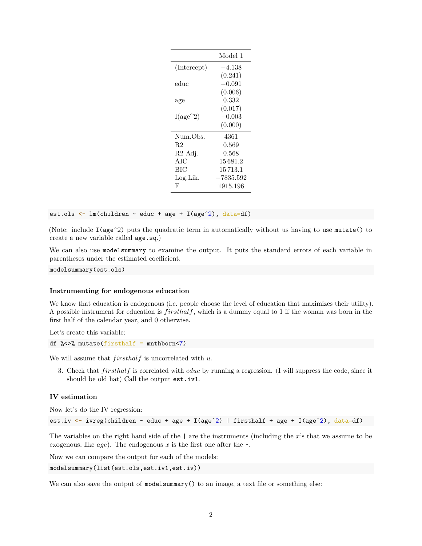|                     | Model 1     |
|---------------------|-------------|
| (Intercept)         | –4.138      |
|                     | (0.241)     |
| educ                | $-0.091$    |
|                     | (0.006)     |
| age                 | 0.332       |
|                     | (0.017)     |
| $I(age^2)$          | $-0.003\,$  |
|                     | (0.000)     |
| Num.Obs.            | 4361        |
| R2                  | 0.569       |
| R <sub>2</sub> Adj. | 0.568       |
| AIC                 | 15681.2     |
| ВIС                 | 15 713.1    |
| Log.Lik.            | $-7835.592$ |
| F                   | 1915.196    |

est.ols <- lm(children ~ educ + age + I(ageˆ2), data=df)

(Note: include I(ageˆ2) puts the quadratic term in automatically without us having to use mutate() to create a new variable called age.sq.)

We can also use modelsummary to examine the output. It puts the standard errors of each variable in parentheses under the estimated coefficient.

modelsummary(est.ols)

#### **Instrumenting for endogenous education**

We know that education is endogenous (i.e. people choose the level of education that maximizes their utility). A possible instrument for education is *f irsthalf*, which is a dummy equal to 1 if the woman was born in the first half of the calendar year, and 0 otherwise.

Let's create this variable:

```
df \frac{1}{2} <>% mutate(firsthalf = mnthborn<7)
```
We will assume that *f irsthalf* is uncorrelated with *u*.

3. Check that *f irsthalf* is correlated with *educ* by running a regression. (I will suppress the code, since it should be old hat) Call the output est.iv1.

#### **IV estimation**

Now let's do the IV regression:

est.iv  $\le$  ivreg(children  $\sim$  educ + age + I(age<sup> $2$ </sup>) | firsthalf + age + I(age<sup> $2$ </sup>), data=df)

The variables on the right hand side of the | are the instruments (including the *x*'s that we assume to be exogenous, like  $age)$ . The endogenous x is the first one after the  $\sim$ .

Now we can compare the output for each of the models:

modelsummary(list(est.ols,est.iv1,est.iv))

We can also save the output of modelsummary () to an image, a text file or something else: